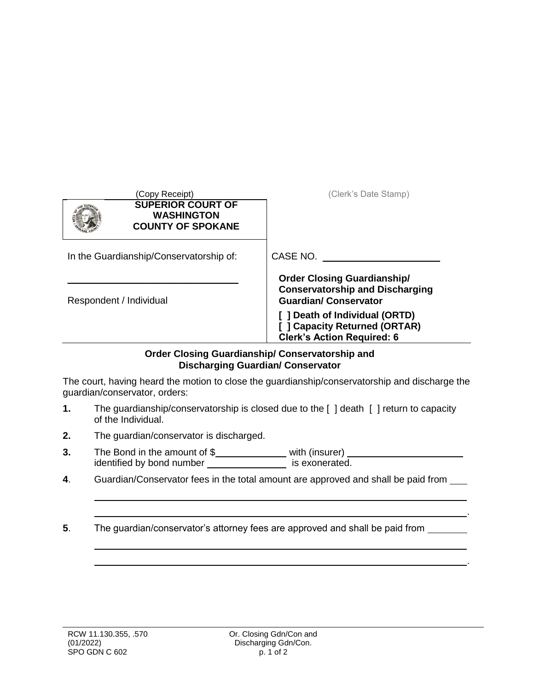| (Copy Receipt)<br><b>SUPERIOR COURT OF</b><br><b>WASHINGTON</b><br><b>COUNTY OF SPOKANE</b> | (Clerk's Date Stamp)                                                                                        |
|---------------------------------------------------------------------------------------------|-------------------------------------------------------------------------------------------------------------|
| In the Guardianship/Conservatorship of:                                                     | CASE NO.                                                                                                    |
| Respondent / Individual                                                                     | <b>Order Closing Guardianship/</b><br><b>Conservatorship and Discharging</b><br><b>Guardian/Conservator</b> |
|                                                                                             | ] Death of Individual (ORTD)<br>[ ] Capacity Returned (ORTAR)<br><b>Clerk's Action Required: 6</b>          |

## **Order Closing Guardianship/ Conservatorship and Discharging Guardian/ Conservator**

The court, having heard the motion to close the guardianship/conservatorship and discharge the guardian/conservator, orders:

- **1.** The guardianship/conservatorship is closed due to the [ ] death [ ] return to capacity of the Individual.
- **2.** The guardian/conservator is discharged.
- **3.** The Bond in the amount of \$\_\_\_\_\_\_\_\_\_\_\_\_\_\_\_\_ with (insurer) identified by bond number \_\_\_\_\_\_\_\_\_\_\_\_\_\_\_\_\_ is exonerated.
- **4**. Guardian/Conservator fees in the total amount are approved and shall be paid from

.

.

**5**. The guardian/conservator's attorney fees are approved and shall be paid from